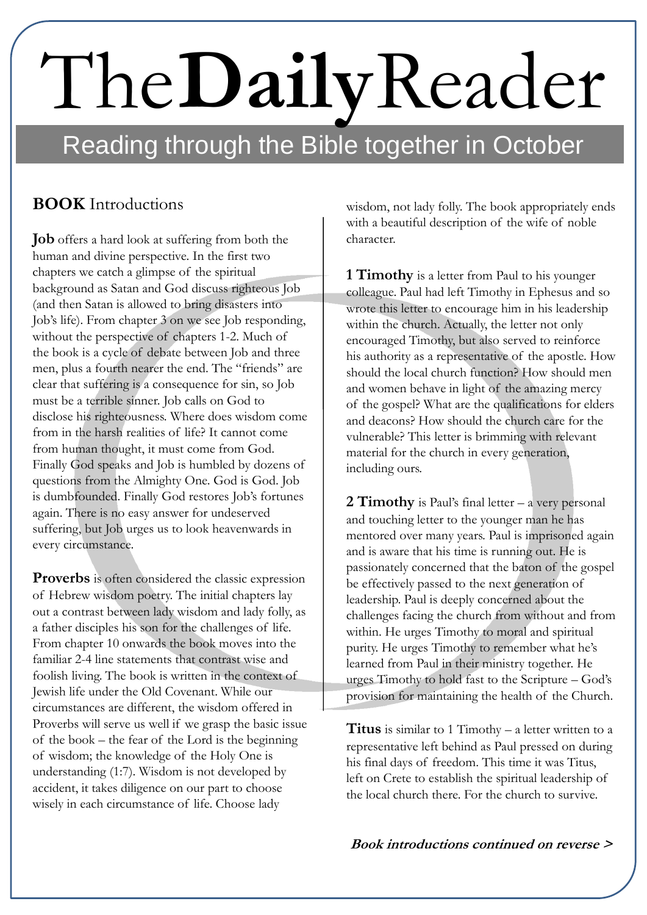## Reading through the Bible together in October The**Daily**Reader

## **BOOK** Introductions

**Job** offers a hard look at suffering from both the human and divine perspective. In the first two chapters we catch a glimpse of the spiritual background as Satan and God discuss righteous Job (and then Satan is allowed to bring disasters into Job's life). From chapter 3 on we see Job responding, without the perspective of chapters 1-2. Much of the book is a cycle of debate between Job and three men, plus a fourth nearer the end. The "friends" are clear that suffering is a consequence for sin, so Job must be a terrible sinner. Job calls on God to disclose his righteousness. Where does wisdom come from in the harsh realities of life? It cannot come from human thought, it must come from God. Finally God speaks and Job is humbled by dozens of questions from the Almighty One. God is God. Job is dumbfounded. Finally God restores Job's fortunes again. There is no easy answer for undeserved suffering, but Job urges us to look heavenwards in every circumstance.

**Proverbs** is often considered the classic expression of Hebrew wisdom poetry. The initial chapters lay out a contrast between lady wisdom and lady folly, as a father disciples his son for the challenges of life. From chapter 10 onwards the book moves into the familiar 2-4 line statements that contrast wise and foolish living. The book is written in the context of Jewish life under the Old Covenant. While our circumstances are different, the wisdom offered in Proverbs will serve us well if we grasp the basic issue of the book – the fear of the Lord is the beginning of wisdom; the knowledge of the Holy One is understanding (1:7). Wisdom is not developed by accident, it takes diligence on our part to choose wisely in each circumstance of life. Choose lady

wisdom, not lady folly. The book appropriately ends with a beautiful description of the wife of noble character.

**1 Timothy** is a letter from Paul to his younger colleague. Paul had left Timothy in Ephesus and so wrote this letter to encourage him in his leadership within the church. Actually, the letter not only encouraged Timothy, but also served to reinforce his authority as a representative of the apostle. How should the local church function? How should men and women behave in light of the amazing mercy of the gospel? What are the qualifications for elders and deacons? How should the church care for the vulnerable? This letter is brimming with relevant material for the church in every generation, including ours.

**2 Timothy** is Paul's final letter – a very personal and touching letter to the younger man he has mentored over many years. Paul is imprisoned again and is aware that his time is running out. He is passionately concerned that the baton of the gospel be effectively passed to the next generation of leadership. Paul is deeply concerned about the challenges facing the church from without and from within. He urges Timothy to moral and spiritual purity. He urges Timothy to remember what he's learned from Paul in their ministry together. He urges Timothy to hold fast to the Scripture – God's provision for maintaining the health of the Church.

**Titus** is similar to 1 Timothy – a letter written to a representative left behind as Paul pressed on during his final days of freedom. This time it was Titus, left on Crete to establish the spiritual leadership of the local church there. For the church to survive.

**Book introductions continued on reverse >**